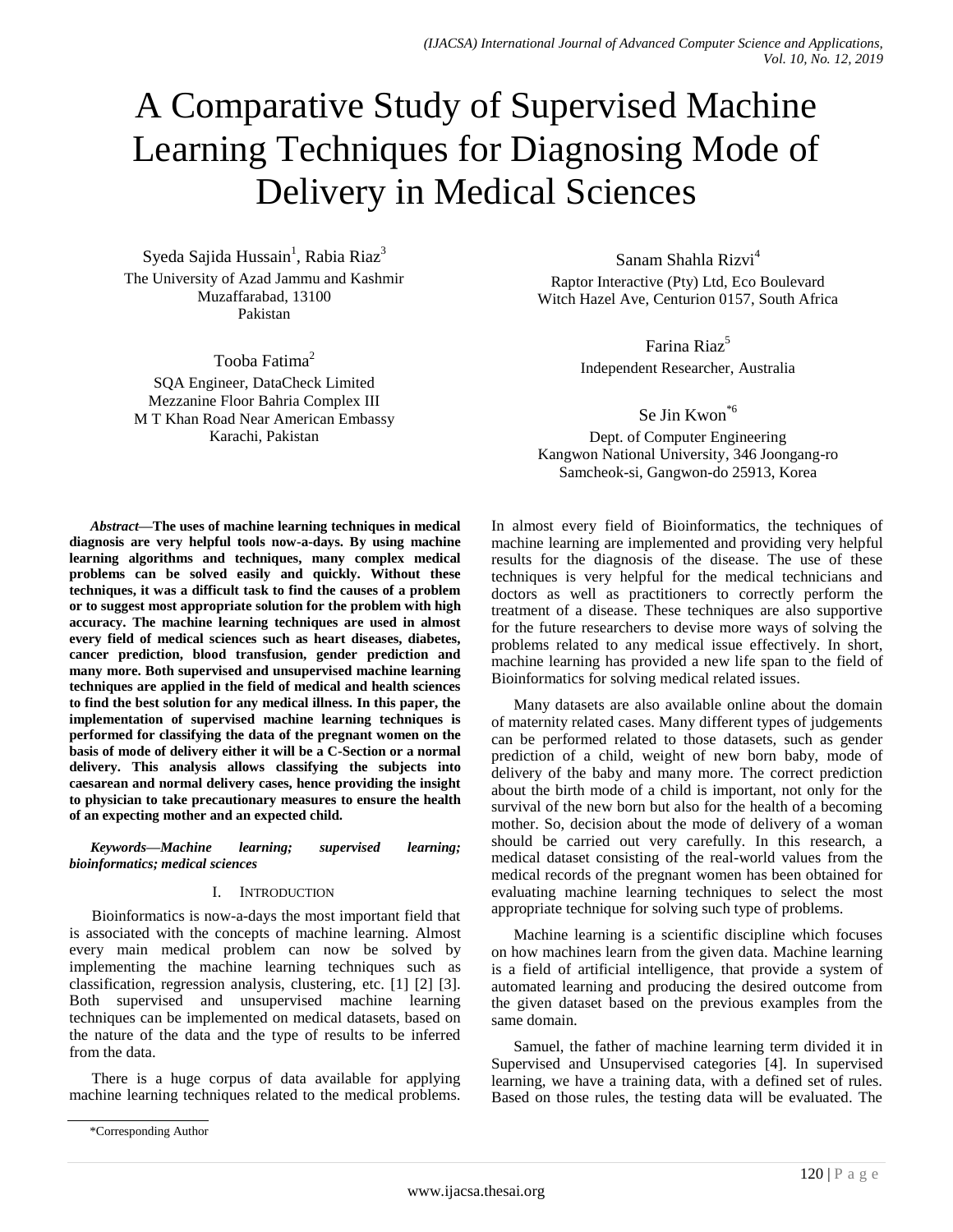# A Comparative Study of Supervised Machine Learning Techniques for Diagnosing Mode of Delivery in Medical Sciences

Syeda Sajida Hussain<sup>1</sup>, Rabia Riaz<sup>3</sup> The University of Azad Jammu and Kashmir Muzaffarabad, 13100 Pakistan

Tooba Fatima<sup>2</sup>

SQA Engineer, DataCheck Limited Mezzanine Floor Bahria Complex III M T Khan Road Near American Embassy Karachi, Pakistan

Sanam Shahla Rizvi<sup>4</sup> Raptor Interactive (Pty) Ltd, Eco Boulevard Witch Hazel Ave, Centurion 0157, South Africa

> Farina Riaz<sup>5</sup> Independent Researcher, Australia

Se Jin Kwon\*6 Dept. of Computer Engineering Kangwon National University, 346 Joongang-ro Samcheok-si, Gangwon-do 25913, Korea

*Abstract***—The uses of machine learning techniques in medical diagnosis are very helpful tools now-a-days. By using machine learning algorithms and techniques, many complex medical problems can be solved easily and quickly. Without these techniques, it was a difficult task to find the causes of a problem or to suggest most appropriate solution for the problem with high accuracy. The machine learning techniques are used in almost every field of medical sciences such as heart diseases, diabetes, cancer prediction, blood transfusion, gender prediction and many more. Both supervised and unsupervised machine learning techniques are applied in the field of medical and health sciences to find the best solution for any medical illness. In this paper, the implementation of supervised machine learning techniques is performed for classifying the data of the pregnant women on the basis of mode of delivery either it will be a C-Section or a normal delivery. This analysis allows classifying the subjects into caesarean and normal delivery cases, hence providing the insight to physician to take precautionary measures to ensure the health of an expecting mother and an expected child.**

*Keywords—Machine learning; supervised learning; bioinformatics; medical sciences*

### I. INTRODUCTION

Bioinformatics is now-a-days the most important field that is associated with the concepts of machine learning. Almost every main medical problem can now be solved by implementing the machine learning techniques such as classification, regression analysis, clustering, etc. [1] [2] [3]. Both supervised and unsupervised machine learning techniques can be implemented on medical datasets, based on the nature of the data and the type of results to be inferred from the data.

There is a huge corpus of data available for applying machine learning techniques related to the medical problems. In almost every field of Bioinformatics, the techniques of machine learning are implemented and providing very helpful results for the diagnosis of the disease. The use of these techniques is very helpful for the medical technicians and doctors as well as practitioners to correctly perform the treatment of a disease. These techniques are also supportive for the future researchers to devise more ways of solving the problems related to any medical issue effectively. In short, machine learning has provided a new life span to the field of Bioinformatics for solving medical related issues.

Many datasets are also available online about the domain of maternity related cases. Many different types of judgements can be performed related to those datasets, such as gender prediction of a child, weight of new born baby, mode of delivery of the baby and many more. The correct prediction about the birth mode of a child is important, not only for the survival of the new born but also for the health of a becoming mother. So, decision about the mode of delivery of a woman should be carried out very carefully. In this research, a medical dataset consisting of the real-world values from the medical records of the pregnant women has been obtained for evaluating machine learning techniques to select the most appropriate technique for solving such type of problems.

Machine learning is a scientific discipline which focuses on how machines learn from the given data. Machine learning is a field of artificial intelligence, that provide a system of automated learning and producing the desired outcome from the given dataset based on the previous examples from the same domain.

Samuel, the father of machine learning term divided it in Supervised and Unsupervised categories [4]. In supervised learning, we have a training data, with a defined set of rules. Based on those rules, the testing data will be evaluated. The

<sup>\*</sup>Corresponding Author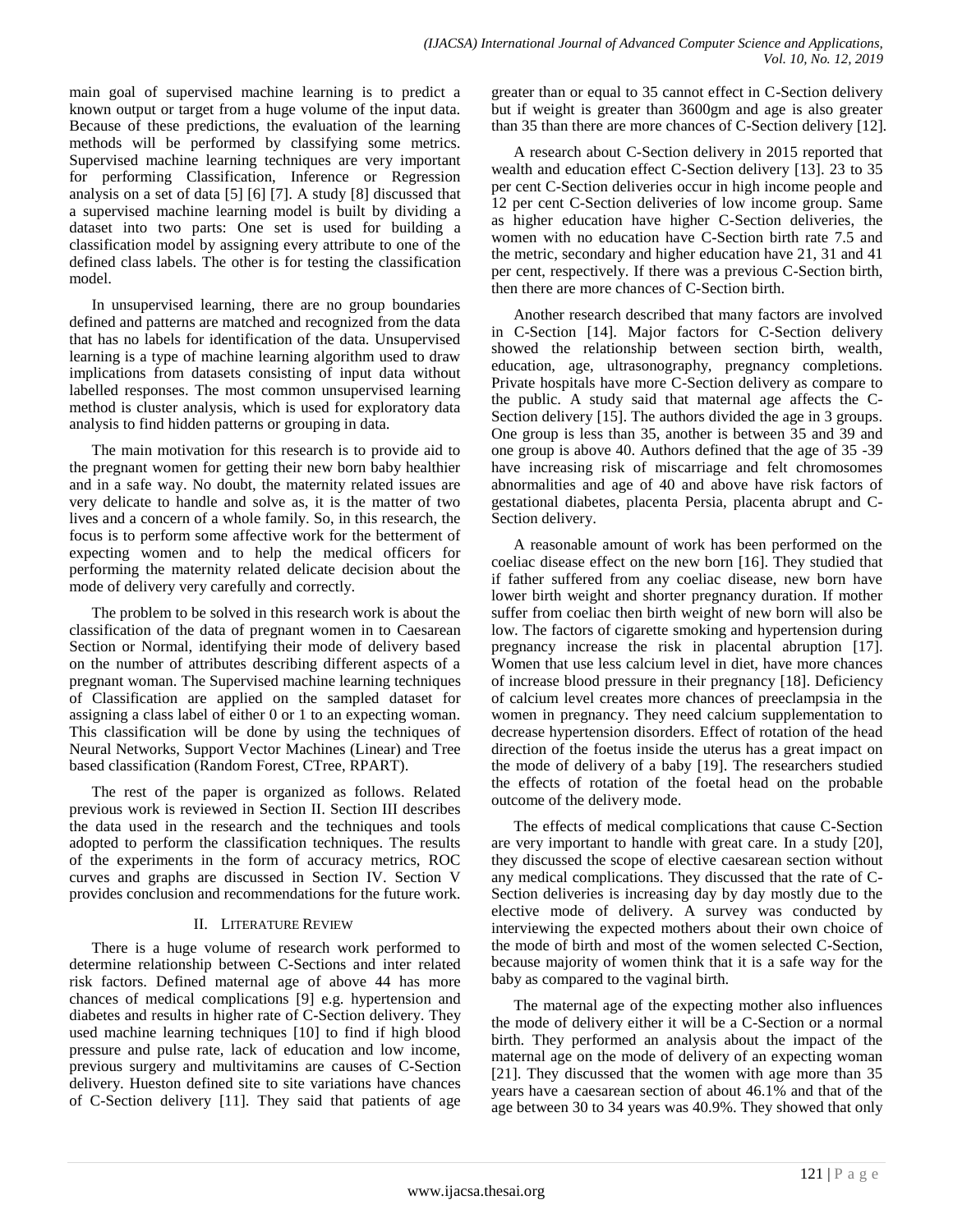main goal of supervised machine learning is to predict a known output or target from a huge volume of the input data. Because of these predictions, the evaluation of the learning methods will be performed by classifying some metrics. Supervised machine learning techniques are very important for performing Classification, Inference or Regression analysis on a set of data [5] [6] [7]. A study [8] discussed that a supervised machine learning model is built by dividing a dataset into two parts: One set is used for building a classification model by assigning every attribute to one of the defined class labels. The other is for testing the classification model.

In unsupervised learning, there are no group boundaries defined and patterns are matched and recognized from the data that has no labels for identification of the data. Unsupervised learning is a type of machine learning algorithm used to draw implications from datasets consisting of input data without labelled responses. The most common unsupervised learning method is cluster analysis, which is used for exploratory data analysis to find hidden patterns or grouping in data.

The main motivation for this research is to provide aid to the pregnant women for getting their new born baby healthier and in a safe way. No doubt, the maternity related issues are very delicate to handle and solve as, it is the matter of two lives and a concern of a whole family. So, in this research, the focus is to perform some affective work for the betterment of expecting women and to help the medical officers for performing the maternity related delicate decision about the mode of delivery very carefully and correctly.

The problem to be solved in this research work is about the classification of the data of pregnant women in to Caesarean Section or Normal, identifying their mode of delivery based on the number of attributes describing different aspects of a pregnant woman. The Supervised machine learning techniques of Classification are applied on the sampled dataset for assigning a class label of either 0 or 1 to an expecting woman. This classification will be done by using the techniques of Neural Networks, Support Vector Machines (Linear) and Tree based classification (Random Forest, CTree, RPART).

The rest of the paper is organized as follows. Related previous work is reviewed in Section II. Section III describes the data used in the research and the techniques and tools adopted to perform the classification techniques. The results of the experiments in the form of accuracy metrics, ROC curves and graphs are discussed in Section IV. Section V provides conclusion and recommendations for the future work.

## II. LITERATURE REVIEW

There is a huge volume of research work performed to determine relationship between C-Sections and inter related risk factors. Defined maternal age of above 44 has more chances of medical complications [9] e.g. hypertension and diabetes and results in higher rate of C-Section delivery. They used machine learning techniques [10] to find if high blood pressure and pulse rate, lack of education and low income, previous surgery and multivitamins are causes of C-Section delivery. Hueston defined site to site variations have chances of C-Section delivery [11]. They said that patients of age greater than or equal to 35 cannot effect in C-Section delivery but if weight is greater than 3600gm and age is also greater than 35 than there are more chances of C-Section delivery [12].

A research about C-Section delivery in 2015 reported that wealth and education effect C-Section delivery [13]. 23 to 35 per cent C-Section deliveries occur in high income people and 12 per cent C-Section deliveries of low income group. Same as higher education have higher C-Section deliveries, the women with no education have C-Section birth rate 7.5 and the metric, secondary and higher education have 21, 31 and 41 per cent, respectively. If there was a previous C-Section birth, then there are more chances of C-Section birth.

Another research described that many factors are involved in C-Section [14]. Major factors for C-Section delivery showed the relationship between section birth, wealth, education, age, ultrasonography, pregnancy completions. Private hospitals have more C-Section delivery as compare to the public. A study said that maternal age affects the C-Section delivery [15]. The authors divided the age in 3 groups. One group is less than 35, another is between 35 and 39 and one group is above 40. Authors defined that the age of 35 -39 have increasing risk of miscarriage and felt chromosomes abnormalities and age of 40 and above have risk factors of gestational diabetes, placenta Persia, placenta abrupt and C-Section delivery.

A reasonable amount of work has been performed on the coeliac disease effect on the new born [16]. They studied that if father suffered from any coeliac disease, new born have lower birth weight and shorter pregnancy duration. If mother suffer from coeliac then birth weight of new born will also be low. The factors of cigarette smoking and hypertension during pregnancy increase the risk in placental abruption [17]. Women that use less calcium level in diet, have more chances of increase blood pressure in their pregnancy [18]. Deficiency of calcium level creates more chances of preeclampsia in the women in pregnancy. They need calcium supplementation to decrease hypertension disorders. Effect of rotation of the head direction of the foetus inside the uterus has a great impact on the mode of delivery of a baby [19]. The researchers studied the effects of rotation of the foetal head on the probable outcome of the delivery mode.

The effects of medical complications that cause C-Section are very important to handle with great care. In a study [20], they discussed the scope of elective caesarean section without any medical complications. They discussed that the rate of C-Section deliveries is increasing day by day mostly due to the elective mode of delivery. A survey was conducted by interviewing the expected mothers about their own choice of the mode of birth and most of the women selected C-Section, because majority of women think that it is a safe way for the baby as compared to the vaginal birth.

The maternal age of the expecting mother also influences the mode of delivery either it will be a C-Section or a normal birth. They performed an analysis about the impact of the maternal age on the mode of delivery of an expecting woman [21]. They discussed that the women with age more than 35 years have a caesarean section of about 46.1% and that of the age between 30 to 34 years was 40.9%. They showed that only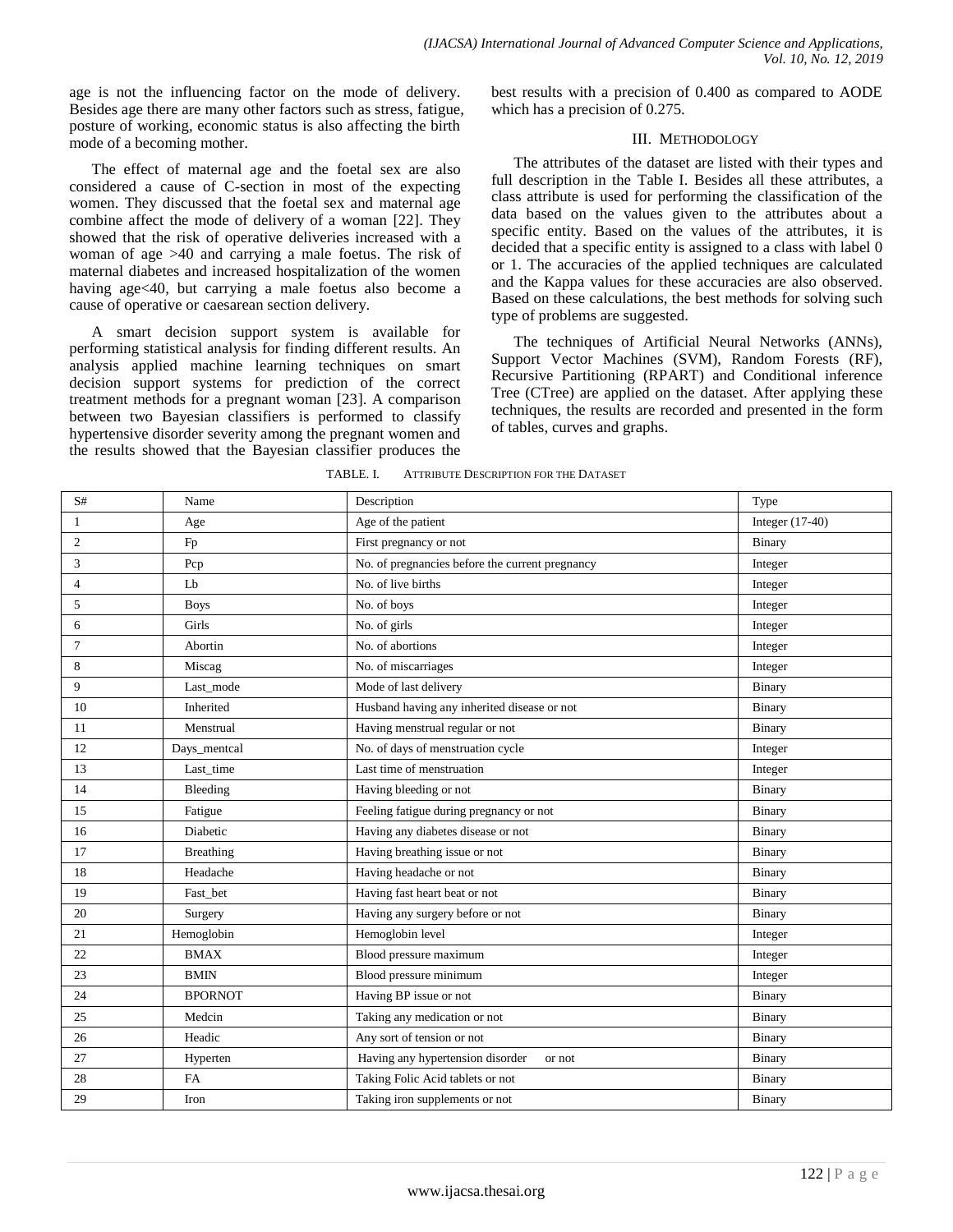age is not the influencing factor on the mode of delivery. Besides age there are many other factors such as stress, fatigue, posture of working, economic status is also affecting the birth mode of a becoming mother.

The effect of maternal age and the foetal sex are also considered a cause of C-section in most of the expecting women. They discussed that the foetal sex and maternal age combine affect the mode of delivery of a woman [22]. They showed that the risk of operative deliveries increased with a woman of age >40 and carrying a male foetus. The risk of maternal diabetes and increased hospitalization of the women having age<40, but carrying a male foetus also become a cause of operative or caesarean section delivery.

A smart decision support system is available for performing statistical analysis for finding different results. An analysis applied machine learning techniques on smart decision support systems for prediction of the correct treatment methods for a pregnant woman [23]. A comparison between two Bayesian classifiers is performed to classify hypertensive disorder severity among the pregnant women and the results showed that the Bayesian classifier produces the best results with a precision of 0.400 as compared to AODE which has a precision of 0.275.

#### III. METHODOLOGY

The attributes of the dataset are listed with their types and full description in the Table I. Besides all these attributes, a class attribute is used for performing the classification of the data based on the values given to the attributes about a specific entity. Based on the values of the attributes, it is decided that a specific entity is assigned to a class with label 0 or 1. The accuracies of the applied techniques are calculated and the Kappa values for these accuracies are also observed. Based on these calculations, the best methods for solving such type of problems are suggested.

The techniques of Artificial Neural Networks (ANNs), Support Vector Machines (SVM), Random Forests (RF), Recursive Partitioning (RPART) and Conditional inference Tree (CTree) are applied on the dataset. After applying these techniques, the results are recorded and presented in the form of tables, curves and graphs.

| S#             | Name                                            | Description                                     | Type              |
|----------------|-------------------------------------------------|-------------------------------------------------|-------------------|
| 1              | Age                                             | Age of the patient                              | Integer $(17-40)$ |
| $\overline{c}$ | Fp                                              | First pregnancy or not                          | Binary            |
| 3              | $\ensuremath{\mathop{\text{\rm Pcp}}\nolimits}$ | No. of pregnancies before the current pregnancy | Integer           |
| 4              | Lb                                              | No. of live births                              | Integer           |
| 5              | <b>Boys</b>                                     | No. of boys                                     | Integer           |
| 6              | Girls                                           | No. of girls                                    | Integer           |
| 7              | Abortin                                         | No. of abortions                                | Integer           |
| 8              | Miscag                                          | No. of miscarriages                             | Integer           |
| 9              | Last mode                                       | Mode of last delivery                           | Binary            |
| 10             | Inherited                                       | Husband having any inherited disease or not     | Binary            |
| 11             | Menstrual                                       | Having menstrual regular or not                 | Binary            |
| 12             | Days_mentcal                                    | No. of days of menstruation cycle               | Integer           |
| 13             | Last_time                                       | Last time of menstruation                       | Integer           |
| 14             | Bleeding                                        | Having bleeding or not                          | Binary            |
| 15             | Fatigue                                         | Feeling fatigue during pregnancy or not         | Binary            |
| 16             | Diabetic                                        | Having any diabetes disease or not              | Binary            |
| 17             | <b>Breathing</b>                                | Having breathing issue or not                   | Binary            |
| 18             | Headache                                        | Having headache or not                          | Binary            |
| 19             | Fast_bet                                        | Having fast heart beat or not                   | Binary            |
| 20             | Surgery                                         | Having any surgery before or not                | Binary            |
| 21             | Hemoglobin                                      | Hemoglobin level                                | Integer           |
| 22             | <b>BMAX</b>                                     | Blood pressure maximum                          | Integer           |
| 23             | <b>BMIN</b>                                     | Blood pressure minimum                          | Integer           |
| 24             | <b>BPORNOT</b>                                  | Having BP issue or not                          | Binary            |
| 25             | Medcin                                          | Taking any medication or not                    | Binary            |
| 26             | Headic                                          | Any sort of tension or not                      | Binary            |
| 27             | Hyperten                                        | Having any hypertension disorder<br>or not      | Binary            |
| 28             | FA                                              | Taking Folic Acid tablets or not                | Binary            |
| 29             | Iron                                            | Taking iron supplements or not                  | Binary            |

TABLE. I. ATTRIBUTE DESCRIPTION FOR THE DATASET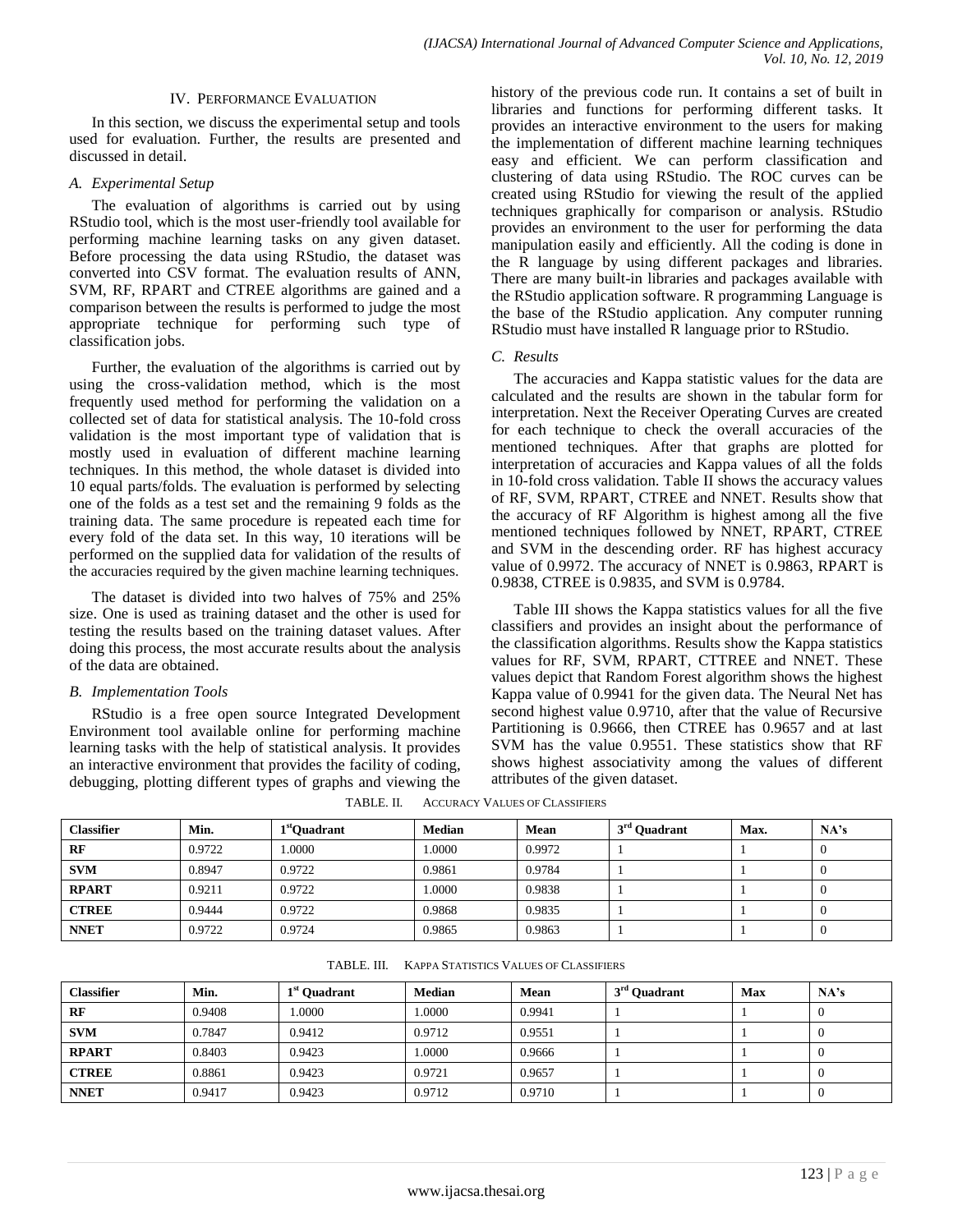#### IV. PERFORMANCE EVALUATION

In this section, we discuss the experimental setup and tools used for evaluation. Further, the results are presented and discussed in detail.

#### *A. Experimental Setup*

The evaluation of algorithms is carried out by using RStudio tool, which is the most user-friendly tool available for performing machine learning tasks on any given dataset. Before processing the data using RStudio, the dataset was converted into CSV format. The evaluation results of ANN, SVM, RF, RPART and CTREE algorithms are gained and a comparison between the results is performed to judge the most appropriate technique for performing such type of classification jobs.

Further, the evaluation of the algorithms is carried out by using the cross-validation method, which is the most frequently used method for performing the validation on a collected set of data for statistical analysis. The 10-fold cross validation is the most important type of validation that is mostly used in evaluation of different machine learning techniques. In this method, the whole dataset is divided into 10 equal parts/folds. The evaluation is performed by selecting one of the folds as a test set and the remaining 9 folds as the training data. The same procedure is repeated each time for every fold of the data set. In this way, 10 iterations will be performed on the supplied data for validation of the results of the accuracies required by the given machine learning techniques.

The dataset is divided into two halves of 75% and 25% size. One is used as training dataset and the other is used for testing the results based on the training dataset values. After doing this process, the most accurate results about the analysis of the data are obtained.

### *B. Implementation Tools*

RStudio is a free open source Integrated Development Environment tool available online for performing machine learning tasks with the help of statistical analysis. It provides an interactive environment that provides the facility of coding, debugging, plotting different types of graphs and viewing the

history of the previous code run. It contains a set of built in libraries and functions for performing different tasks. It provides an interactive environment to the users for making the implementation of different machine learning techniques easy and efficient. We can perform classification and clustering of data using RStudio. The ROC curves can be created using RStudio for viewing the result of the applied techniques graphically for comparison or analysis. RStudio provides an environment to the user for performing the data manipulation easily and efficiently. All the coding is done in the R language by using different packages and libraries. There are many built-in libraries and packages available with the RStudio application software. R programming Language is the base of the RStudio application. Any computer running RStudio must have installed R language prior to RStudio.

#### *C. Results*

The accuracies and Kappa statistic values for the data are calculated and the results are shown in the tabular form for interpretation. Next the Receiver Operating Curves are created for each technique to check the overall accuracies of the mentioned techniques. After that graphs are plotted for interpretation of accuracies and Kappa values of all the folds in 10-fold cross validation. Table II shows the accuracy values of RF, SVM, RPART, CTREE and NNET. Results show that the accuracy of RF Algorithm is highest among all the five mentioned techniques followed by NNET, RPART, CTREE and SVM in the descending order. RF has highest accuracy value of 0.9972. The accuracy of NNET is 0.9863, RPART is 0.9838, CTREE is 0.9835, and SVM is 0.9784.

Table III shows the Kappa statistics values for all the five classifiers and provides an insight about the performance of the classification algorithms. Results show the Kappa statistics values for RF, SVM, RPART, CTTREE and NNET. These values depict that Random Forest algorithm shows the highest Kappa value of 0.9941 for the given data. The Neural Net has second highest value 0.9710, after that the value of Recursive Partitioning is 0.9666, then CTREE has 0.9657 and at last SVM has the value 0.9551. These statistics show that RF shows highest associativity among the values of different attributes of the given dataset.

TABLE. II. ACCURACY VALUES OF CLASSIFIERS

| <b>Classifier</b> | Min.   | 1 <sup>st</sup> Ouadrant | <b>Median</b> | Mean   | $3rd$ Ouadrant | Max. | NA's |
|-------------------|--------|--------------------------|---------------|--------|----------------|------|------|
| RF                | 0.9722 | 1.0000                   | 1.0000        | 0.9972 |                |      |      |
| <b>SVM</b>        | 0.8947 | 0.9722                   | 0.9861        | 0.9784 |                |      |      |
| <b>RPART</b>      | 0.9211 | 0.9722                   | 1.0000        | 0.9838 |                |      |      |
| <b>CTREE</b>      | 0.9444 | 0.9722                   | 0.9868        | 0.9835 |                |      |      |
| <b>NNET</b>       | 0.9722 | 0.9724                   | 0.9865        | 0.9863 |                |      |      |

| <b>Classifier</b> | Min.   | 1 <sup>st</sup> Ouadrant | <b>Median</b> | Mean   | $3rd$ Ouadrant | Max | NA's |
|-------------------|--------|--------------------------|---------------|--------|----------------|-----|------|
| RF                | 0.9408 | .0000                    | 1.0000        | 0.9941 |                |     |      |
| <b>SVM</b>        | 0.7847 | 0.9412                   | 0.9712        | 0.9551 |                |     |      |
| <b>RPART</b>      | 0.8403 | 0.9423                   | 1.0000        | 0.9666 |                |     |      |
| <b>CTREE</b>      | 0.8861 | 0.9423                   | 0.9721        | 0.9657 |                |     |      |
| <b>NNET</b>       | 0.9417 | 0.9423                   | 0.9712        | 0.9710 |                |     |      |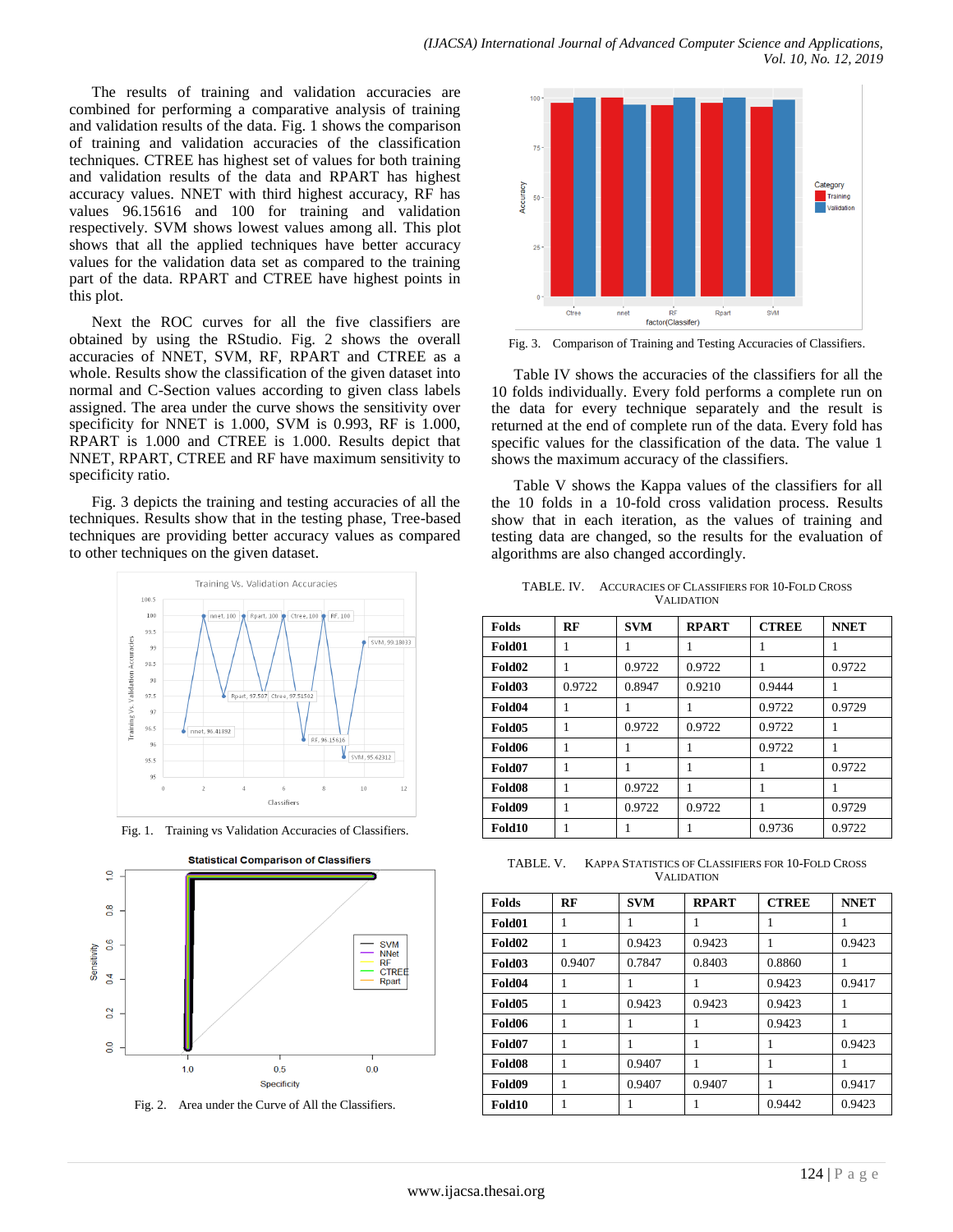The results of training and validation accuracies are combined for performing a comparative analysis of training and validation results of the data. Fig. 1 shows the comparison of training and validation accuracies of the classification techniques. CTREE has highest set of values for both training and validation results of the data and RPART has highest accuracy values. NNET with third highest accuracy, RF has values 96.15616 and 100 for training and validation respectively. SVM shows lowest values among all. This plot shows that all the applied techniques have better accuracy values for the validation data set as compared to the training part of the data. RPART and CTREE have highest points in this plot.

Next the ROC curves for all the five classifiers are obtained by using the RStudio. Fig. 2 shows the overall accuracies of NNET, SVM, RF, RPART and CTREE as a whole. Results show the classification of the given dataset into normal and C-Section values according to given class labels assigned. The area under the curve shows the sensitivity over specificity for NNET is 1.000, SVM is 0.993, RF is 1.000, RPART is 1.000 and CTREE is 1.000. Results depict that NNET, RPART, CTREE and RF have maximum sensitivity to specificity ratio.

Fig. 3 depicts the training and testing accuracies of all the techniques. Results show that in the testing phase, Tree-based techniques are providing better accuracy values as compared to other techniques on the given dataset.



Fig. 1. Training vs Validation Accuracies of Classifiers.







Fig. 3. Comparison of Training and Testing Accuracies of Classifiers.

Table IV shows the accuracies of the classifiers for all the 10 folds individually. Every fold performs a complete run on the data for every technique separately and the result is returned at the end of complete run of the data. Every fold has specific values for the classification of the data. The value 1 shows the maximum accuracy of the classifiers.

Table V shows the Kappa values of the classifiers for all the 10 folds in a 10-fold cross validation process. Results show that in each iteration, as the values of training and testing data are changed, so the results for the evaluation of algorithms are also changed accordingly.

TABLE. IV. ACCURACIES OF CLASSIFIERS FOR 10-FOLD CROSS VALIDATION

| <b>Folds</b>       | RF     | <b>SVM</b> | <b>RPART</b> | <b>CTREE</b> | <b>NNET</b> |
|--------------------|--------|------------|--------------|--------------|-------------|
| Fold01             | 1      | 1          | 1            | 1            | 1           |
| Fold <sub>02</sub> | 1      | 0.9722     | 0.9722       | 1            | 0.9722      |
| Fold03             | 0.9722 | 0.8947     | 0.9210       | 0.9444       |             |
| Fold04             | 1      | 1          |              | 0.9722       | 0.9729      |
| Fold05             | 1      | 0.9722     | 0.9722       | 0.9722       | 1           |
| Fold06             |        |            |              | 0.9722       | 1           |
| Fold07             | 1      |            | 1            |              | 0.9722      |
| Fold08             |        | 0.9722     |              |              |             |
| Fold09             |        | 0.9722     | 0.9722       |              | 0.9729      |
| Fold10             |        |            |              | 0.9736       | 0.9722      |

TABLE. V. KAPPA STATISTICS OF CLASSIFIERS FOR 10-FOLD CROSS VALIDATION

| <b>Folds</b>       | RF     | <b>SVM</b> | <b>RPART</b> | <b>CTREE</b> | <b>NNET</b> |
|--------------------|--------|------------|--------------|--------------|-------------|
| Fold01             |        |            |              |              |             |
| Fold <sub>02</sub> |        | 0.9423     | 0.9423       |              | 0.9423      |
| Fold03             | 0.9407 | 0.7847     | 0.8403       | 0.8860       | н           |
| Fold04             |        |            |              | 0.9423       | 0.9417      |
| Fold <sub>05</sub> |        | 0.9423     | 0.9423       | 0.9423       | 1           |
| Fold06             |        |            |              | 0.9423       |             |
| Fold07             |        |            | 1            | 1            | 0.9423      |
| Fold08             |        | 0.9407     | 1            |              |             |
| Fold09             |        | 0.9407     | 0.9407       |              | 0.9417      |
| Fold10             |        |            |              | 0.9442       | 0.9423      |